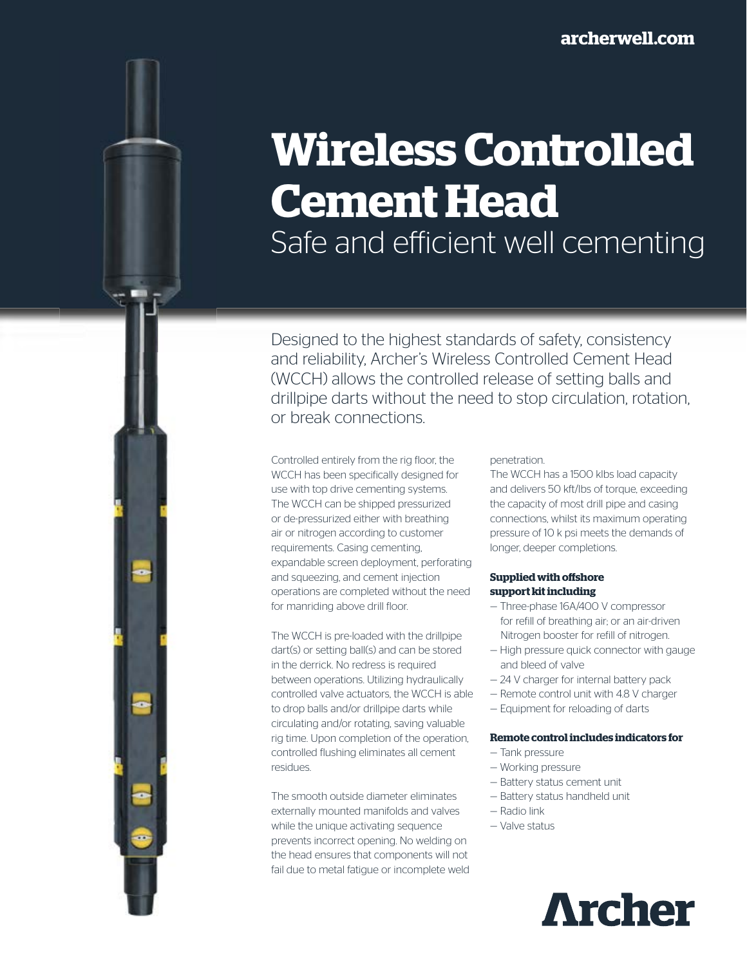# **Wireless Controlled Cement Head**

Safe and efficient well cementing

Designed to the highest standards of safety, consistency and reliability, Archer's Wireless Controlled Cement Head (WCCH) allows the controlled release of setting balls and drillpipe darts without the need to stop circulation, rotation, or break connections.

Controlled entirely from the rig floor, the WCCH has been specifically designed for use with top drive cementing systems. The WCCH can be shipped pressurized or de-pressurized either with breathing air or nitrogen according to customer requirements. Casing cementing, expandable screen deployment, perforating and squeezing, and cement injection operations are completed without the need for manriding above drill floor.

The WCCH is pre-loaded with the drillpipe dart(s) or setting ball(s) and can be stored in the derrick. No redress is required between operations. Utilizing hydraulically controlled valve actuators, the WCCH is able to drop balls and/or drillpipe darts while circulating and/or rotating, saving valuable rig time. Upon completion of the operation, controlled flushing eliminates all cement residues.

The smooth outside diameter eliminates externally mounted manifolds and valves while the unique activating sequence prevents incorrect opening. No welding on the head ensures that components will not fail due to metal fatigue or incomplete weld

#### penetration.

The WCCH has a 1500 klbs load capacity and delivers 50 kft/lbs of torque, exceeding the capacity of most drill pipe and casing connections, whilst its maximum operating pressure of 10 k psi meets the demands of longer, deeper completions.

#### **Supplied with offshore support kit including**

- Three-phase 16A/400 V compressor for refill of breathing air; or an air-driven Nitrogen booster for refill of nitrogen.
- High pressure quick connector with gauge and bleed of valve
- 24 V charger for internal battery pack
- Remote control unit with 4.8 V charger
- Equipment for reloading of darts

## **Remote control includes indicators for**

- Tank pressure
- Working pressure
- Battery status cement unit
- Battery status handheld unit
- Radio link
- Valve status